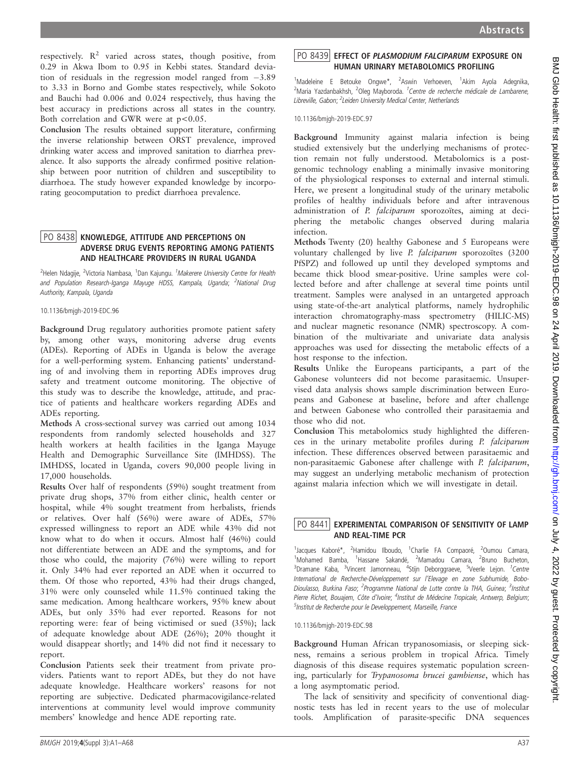respectively.  $R^2$  varied across states, though positive, from 0.29 in Akwa Ibom to 0.95 in Kebbi states. Standard deviation of residuals in the regression model ranged from  $-3.89$ to 3.33 in Borno and Gombe states respectively, while Sokoto and Bauchi had 0.006 and 0.024 respectively, thus having the best accuracy in predictions across all states in the country. Both correlation and GWR were at  $p < 0.05$ .

Conclusion The results obtained support literature, confirming the inverse relationship between ORST prevalence, improved drinking water access and improved sanitation to diarrhea prevalence. It also supports the already confirmed positive relationship between poor nutrition of children and susceptibility to diarrhoea. The study however expanded knowledge by incorporating geocomputation to predict diarrhoea prevalence.

## PO 8438 KNOWLEDGE, ATTITUDE AND PERCEPTIONS ON<br>ADVERSE DRUG EVENTS REPORTING AMONG PATIENTS AND HEALTHCARE PROVIDERS IN RURAL UGANDA

<sup>2</sup>Helen Ndagije, <sup>2</sup>Victoria Nambasa, <sup>1</sup>Dan Kajungu. *<sup>1</sup>Makerere University Centre for Health* and Population Research-Iganga Mayuge HDSS, Kampala, Uganda; <sup>2</sup>National Drug Authority, Kampala, Uganda

10.1136/bmjgh-2019-EDC.96

Background Drug regulatory authorities promote patient safety by, among other ways, monitoring adverse drug events (ADEs). Reporting of ADEs in Uganda is below the average for a well-performing system. Enhancing patients' understanding of and involving them in reporting ADEs improves drug safety and treatment outcome monitoring. The objective of this study was to describe the knowledge, attitude, and practice of patients and healthcare workers regarding ADEs and ADEs reporting.

Methods A cross-sectional survey was carried out among 1034 respondents from randomly selected households and 327 health workers at health facilities in the Iganga Mayuge Health and Demographic Surveillance Site (IMHDSS). The IMHDSS, located in Uganda, covers 90,000 people living in 17,000 households.

Results Over half of respondents (59%) sought treatment from private drug shops, 37% from either clinic, health center or hospital, while 4% sought treatment from herbalists, friends or relatives. Over half (56%) were aware of ADEs, 57% expressed willingness to report an ADE while 43% did not know what to do when it occurs. Almost half (46%) could not differentiate between an ADE and the symptoms, and for those who could, the majority (76%) were willing to report it. Only 34% had ever reported an ADE when it occurred to them. Of those who reported, 43% had their drugs changed, 31% were only counseled while 11.5% continued taking the same medication. Among healthcare workers, 95% knew about ADEs, but only 35% had ever reported. Reasons for not reporting were: fear of being victimised or sued (35%); lack of adequate knowledge about ADE (26%); 20% thought it would disappear shortly; and 14% did not find it necessary to report.

Conclusion Patients seek their treatment from private providers. Patients want to report ADEs, but they do not have adequate knowledge. Healthcare workers' reasons for not reporting are subjective. Dedicated pharmacovigilance-related interventions at community level would improve community members' knowledge and hence ADE reporting rate.

<sup>1</sup>Madeleine E Betouke Ongwe\*, <sup>2</sup>Aswin Verhoeven, <sup>1</sup>Akim Ayola Adegnika, <sup>2</sup>Maria Yazdanbakhsh, <sup>2</sup>Oleg Mayboroda. <sup>1</sup>Centre de recherche médicale de Lambarene, Libreville, Gabon; <sup>2</sup>Leiden University Medical Center, Netherlands

10.1136/bmjgh-2019-EDC.97

Background Immunity against malaria infection is being studied extensively but the underlying mechanisms of protection remain not fully understood. Metabolomics is a postgenomic technology enabling a minimally invasive monitoring of the physiological responses to external and internal stimuli. Here, we present a longitudinal study of the urinary metabolic profiles of healthy individuals before and after intravenous administration of P. falciparum sporozoïtes, aiming at deciphering the metabolic changes observed during malaria infection.

Methods Twenty (20) healthy Gabonese and 5 Europeans were voluntary challenged by live P. falciparum sporozoïtes (3200 PfSPZ) and followed up until they developed symptoms and became thick blood smear-positive. Urine samples were collected before and after challenge at several time points until treatment. Samples were analysed in an untargeted approach using state-of-the-art analytical platforms, namely hydrophilic interaction chromatography-mass spectrometry (HILIC-MS) and nuclear magnetic resonance (NMR) spectroscopy. A combination of the multivariate and univariate data analysis approaches was used for dissecting the metabolic effects of a host response to the infection.

Results Unlike the Europeans participants, a part of the Gabonese volunteers did not become parasitaemic. Unsupervised data analysis shows sample discrimination between Europeans and Gabonese at baseline, before and after challenge and between Gabonese who controlled their parasitaemia and those who did not.

Conclusion This metabolomics study highlighted the differences in the urinary metabolite profiles during P. falciparum infection. These differences observed between parasitaemic and non-parasitaemic Gabonese after challenge with P. falciparum, may suggest an underlying metabolic mechanism of protection against malaria infection which we will investigate in detail.

# $\left\lfloor \mathrm{PO} \,\, 8441 \right\rfloor$  EXPERIMENTAL COMPARISON OF SENSITIVITY OF LAMP<br>AND REAL-TIME PCR

1<br><sup>1</sup>Jacques Kaboré\*, <sup>2</sup>Hamidou Ilboudo, <sup>1</sup>Charlie FA Compaoré, <sup>2</sup>Oumou Camara, <sup>1</sup>Mohamed Bamba, <sup>1</sup>Hassane Sakandé, <sup>2</sup>Mamadou Camara, <sup>2</sup>Bruno Bucheton, <sup>3</sup>Dramane Kaba, <sup>3</sup>Vincent Jamonneau, <sup>4</sup>Stijn Deborggraeve, <sup>5</sup>Veerle Lejon. <sup>1</sup>Centre International de Recherche-Développement sur l'Elevage en zone Subhumide, Bobo-Dioulasso, Burkina Faso; <sup>2</sup>Programme National de Lutte contre la THA, Guinea; <sup>3</sup>Institut Pierre Richet, Bouajem, Côte d'Ivoire; <sup>4</sup>Institut de Médecine Tropicale, Antwerp, Belgium; <sup>5</sup>Institut de Recherche pour le Developpement, Marseille, France

10.1136/bmjgh-2019-EDC.98

Background Human African trypanosomiasis, or sleeping sickness, remains a serious problem in tropical Africa. Timely diagnosis of this disease requires systematic population screening, particularly for Trypanosoma brucei gambiense, which has a long asymptomatic period.

The lack of sensitivity and specificity of conventional diagnostic tests has led in recent years to the use of molecular tools. Amplification of parasite-specific DNA sequences